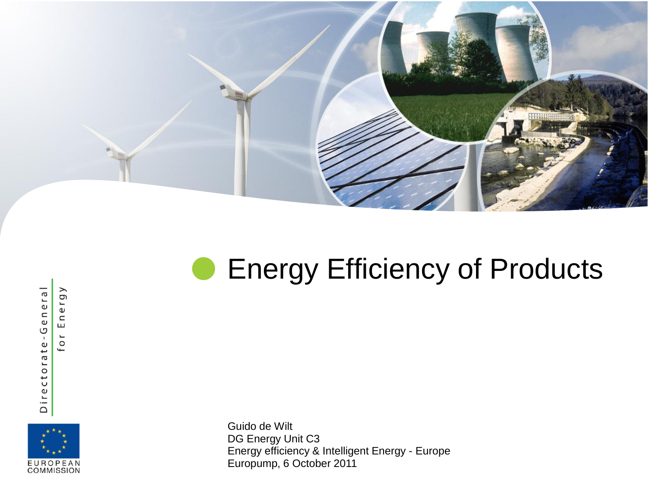

#### **• Energy Efficiency of Products**

Directorate-General

Energy

for



Guido de Wilt DG Energy Unit C3 Energy efficiency & Intelligent Energy - Europe Europump, 6 October 2011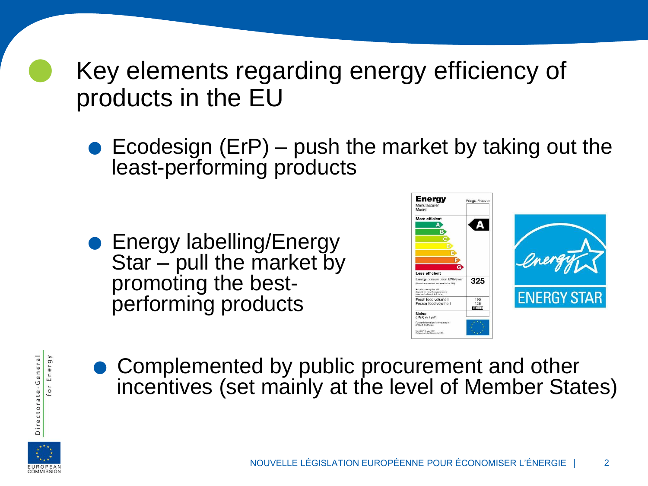Key elements regarding energy efficiency of products in the EU

 $\bullet$  Ecodesign (ErP) – push the market by taking out the least-performing products

**•** Energy labelling/Energy Star – pull the market by promoting the bestperforming products





errorming products<br>
• Complemented by public procurement and other<br>
• Complemented by public procurement and other incentives (set mainly at the level of Member States)



Directorate-General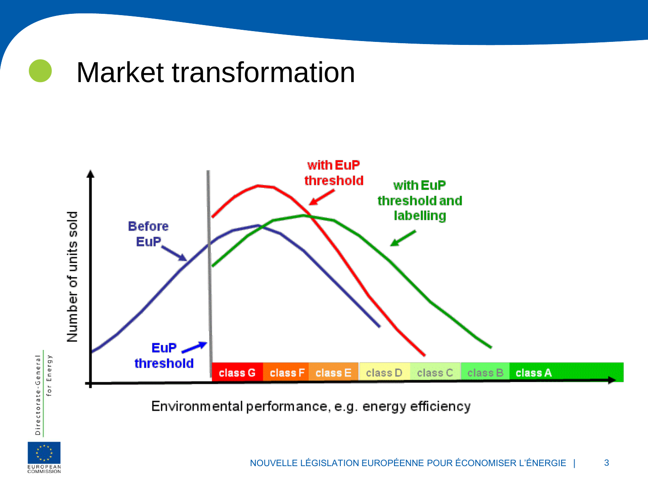



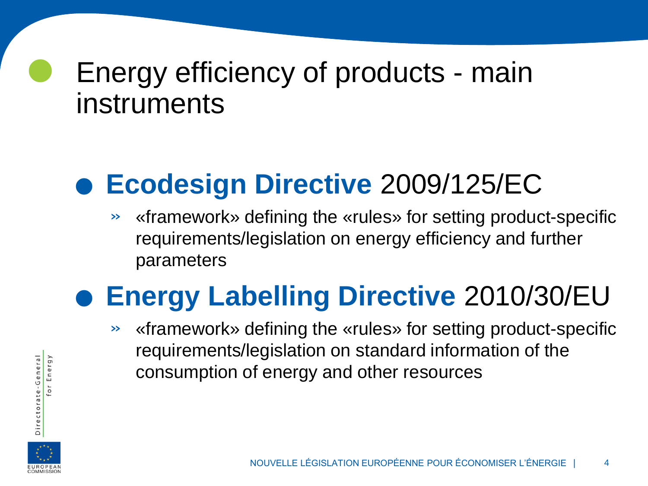#### Energy efficiency of products - main instruments

# **Ecodesign Directive** 2009/125/EC

» «framework» defining the «rules» for setting product-specific requirements/legislation on energy efficiency and further parameters

# **Energy Labelling Directive** 2010/30/EU<br> **Energy Labelling Directive** 2010/30/EU

» «framework» defining the «rules» for setting product-specific requirements/legislation on standard information of the consumption of energy and other resources



Directorate-General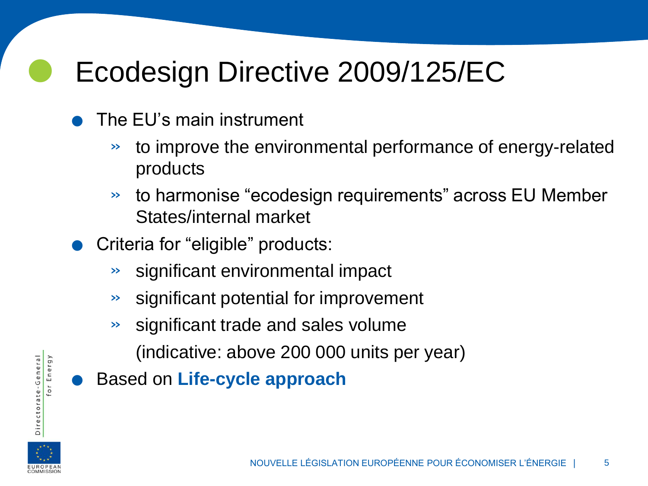## **C** Ecodesign Directive 2009/125/EC ECODESIGN UITECTIV<br>• The EU's main instrument

- - » to improve the environmental performance of energy-related products
	- » to harmonise "ecodesign requirements" across EU Member States/internal market
- . Criteria for "eligible" products:
	- » significant environmental impact
	- » significant potential for improvement
	- » significant trade and sales volume (indicative: above 200 000 units per year)
	- . Based on **Life-cycle approach**

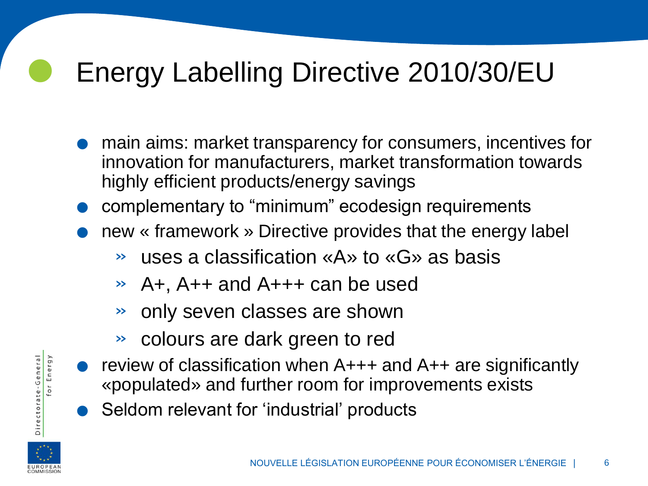#### Energy Labelling Directive 2010/30/EU

- . main aims: market transparency for consumers, incentives for innovation for manufacturers, market transformation towards highly efficient products/energy savings
- **Complementary to "minimum" ecodesign requirements**
- . new « framework » Directive provides that the energy label
	- » uses a classification «A» to «G» as basis
	- » A+, A++ and A+++ can be used
	- » only seven classes are shown
	- » colours are dark green to red
- » Only seven classes are shown<br>
⇒ colours are dark green to red<br>
 review of classification when A+++ and A++ are significantly<br>
«populated» and further ream for improvements exists «populated» and further room for improvements exists • review of classification when A+++ and<br>«populated» and further room for improv<br>• Seldom relevant for 'industrial' products
	-



Directorate-General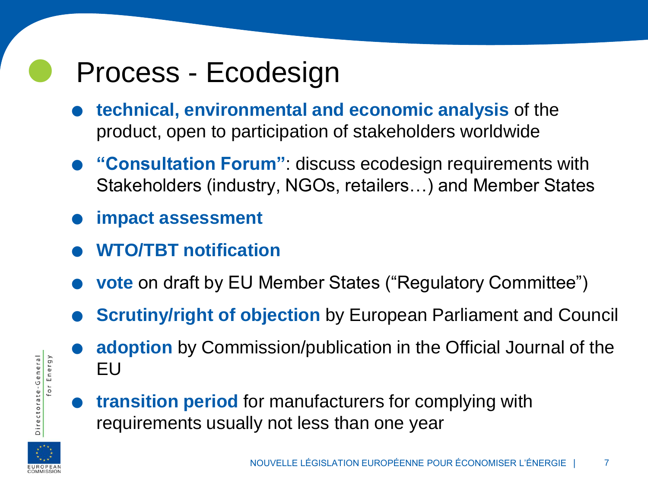#### Process - Ecodesign

- .**technical, environmental and economic analysis** of the product, open to participation of stakeholders worldwide
- . **"Consultation Forum"**: discuss ecodesign requirements with Stakeholders (industry, NGOs, retailers…) and Member States ■ Stakeholders (industreal)<br>■ impact assessment
- 
- . **WTO/TBT notification**
- **. WTO/TBT notification<br>
 vote** on draft by EU Member States ("Regulatory Committee")
- **vote** on draft by EU Member States ("Regulatory Committee")<br>● Scrutiny/right of objection by European Parliament and Council **Scrutiny/right of objection** by European Parliament and Council adoption by Commission/publication in the Official Journal of the
	- EU
	- .**transition period** for manufacturers for complying with requirements usually not less than one year



for Energy

Directorate-General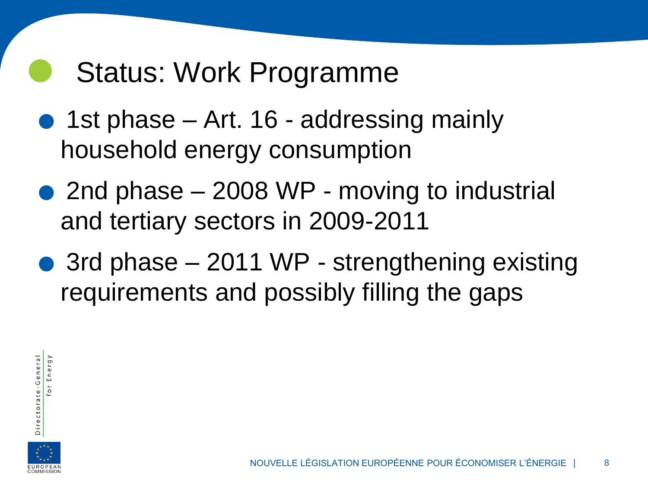#### Status: Work Programme

- 1st phase Art. 16 addressing mainly household energy consumption
- 2nd phase 2008 WP moving to industrial and tertiary sectors in 2009-2011
- 3rd phase 2011 WP strengthening existing requirements and possibly filling the gaps



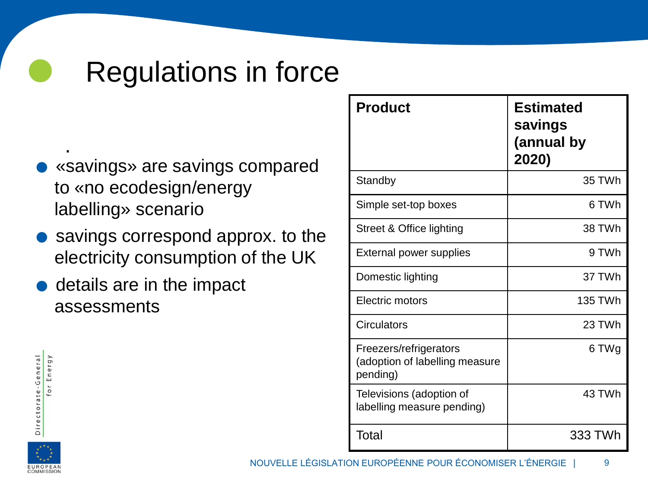#### Regulations in force

- «savings» are savings compared to «no ecodesign/energy labelling» scenario .
- savings correspond approx. to the electricity consumption of the UK
- $\bullet$  details are in the impact assessments

| <b>Product</b>                                                       | <b>Estimated</b><br>savings<br>(annual by<br>2020) |
|----------------------------------------------------------------------|----------------------------------------------------|
| Standby                                                              | 35 TWh                                             |
| Simple set-top boxes                                                 | 6 TWh                                              |
| Street & Office lighting                                             | 38 TWh                                             |
| External power supplies                                              | 9 TWh                                              |
| Domestic lighting                                                    | 37 TWh                                             |
| Electric motors                                                      | 135 TWh                                            |
| Circulators                                                          | 23 TWh                                             |
| Freezers/refrigerators<br>(adoption of labelling measure<br>pending) | 6 TWg                                              |
| Televisions (adoption of<br>labelling measure pending)               | 43 TWh                                             |
| Total                                                                | 333 TWh                                            |

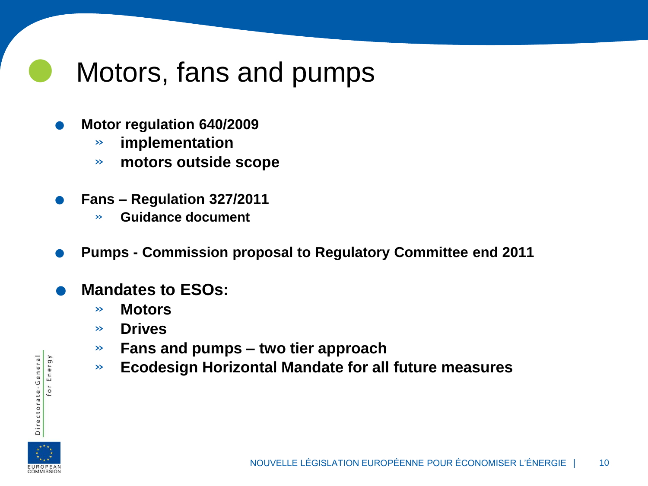#### Motors, fans and pumps

- . **Motor regulation 640/2009**
	- » **implementation**
	- » **motors outside scope**
- . **Fans – Regulation 327/2011**
	- » **Guidance document**
- . **Pumps - Commission proposal to Regulatory Committee end 2011**
- . **Mandates to ESOs:**
	- » **Motors**
	- » **Drives**
	- » **Fans and pumps – two tier approach**
	- » **Ecodesign Horizontal Mandate for all future measures**



Directorate-General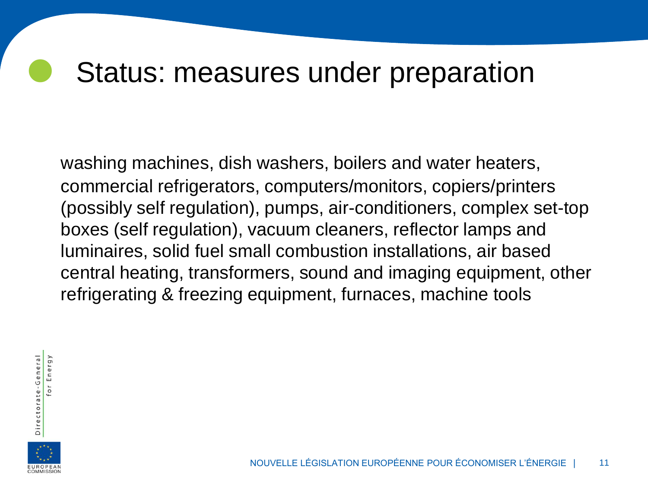#### Status: measures under preparation

washing machines, dish washers, boilers and water heaters, commercial refrigerators, computers/monitors, copiers/printers (possibly self regulation), pumps, air-conditioners, complex set-top boxes (self regulation), vacuum cleaners, reflector lamps and luminaires, solid fuel small combustion installations, air based central heating, transformers, sound and imaging equipment, other refrigerating & freezing equipment, furnaces, machine tools



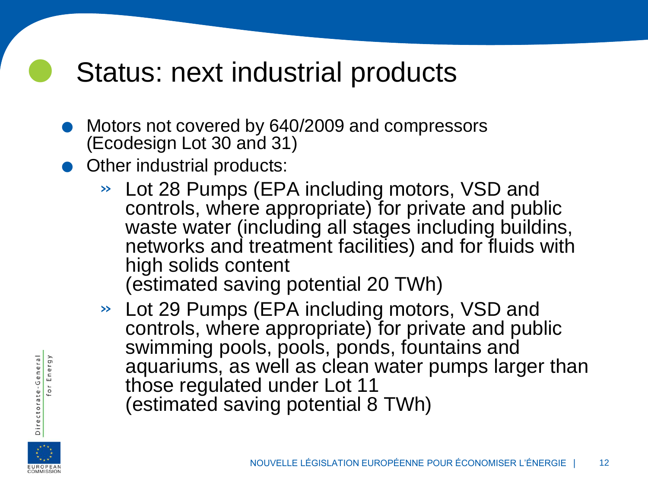#### Status: next industrial products

- <p>6 Motoles not covered by 640/2009 and compressors (Ecodesian 1 of 30 and 31)</p>\n<p>6 Motoles in 1 of 30 and 31</p> (Ecodesign Lot 30 and 31) ● Motors not covered by 64<br>(Ecodesign Lot 30 and 31<br>● Other industrial products:
- - » Lot 28 Pumps (EPA including motors, VSD and controls, where appropriate) for private and public waste water (including all stages including buildins, networks and treatment facilities) and for fluids with high solids content (estimated saving potential 20 TWh)
	- » Lot 29 Pumps (EPA including motors, VSD and controls, where appropriate) for private and public swimming pools, pools, ponds, fountains and aquariums, as well as clean water pumps larger than those regulated under Lot 11 (estimated saving potential 8 TWh)

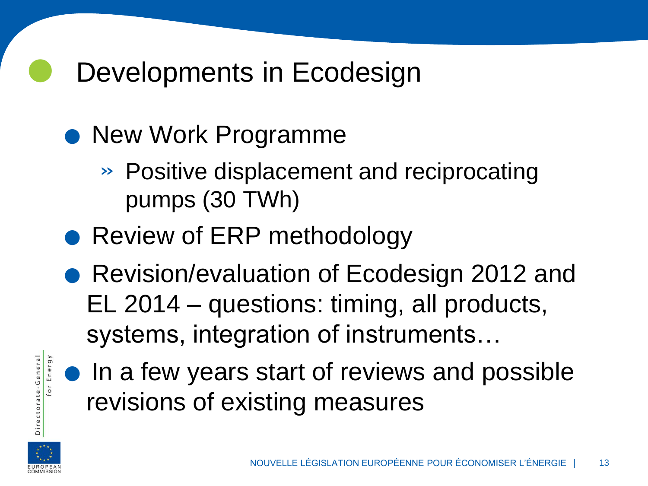## **O** Developments in Ecodesign

# Developments in Ecod<br>• New Work Programme

- » Positive displacement and reciprocating pumps (30 TWh)
- Review of ERP methodology
- Revision/evaluation of Ecodesign 2012 and EL 2014 – questions: timing, all products, systems, integration of instruments…
- **.** In a few years start of reviews and possible revisions of existing measures



Directorate-General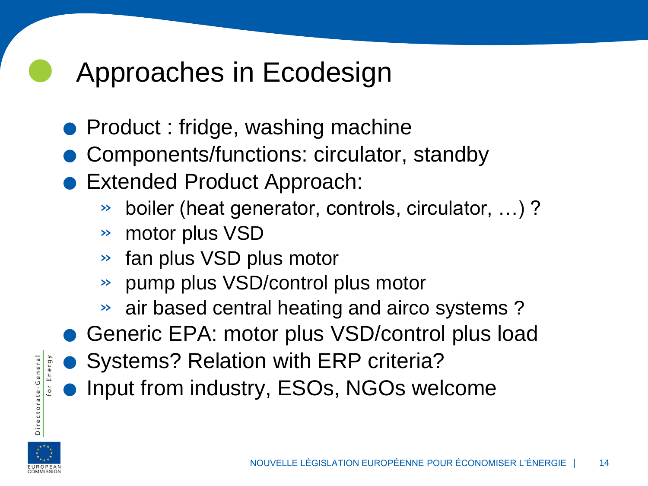## **C** Approaches in Ecodesign

- Approaches in Ecodesign<br>• Product : fridge, washing machine
	- Components/functions: circulator, standby<br>• Extended Product Approach: ● Product : fridge, washing machine<br>● Components/functions: circulator,<br>● Extended Product Approach:<br>→ boiler (heat generator controls of
	- - » boiler (heat generator, controls, circulator, …) ?
		- » motor plus VSD
		- » fan plus VSD plus motor
		- » pump plus VSD/control plus motor
		- » air based central heating and airco systems ?
- .Generic EPA: motor plus VSD/control plus load → air based central heating and airco s<br>
● Generic EPA: motor plus VSD/control<br>
● Systems? Relation with ERP criteria?
	-
	- Systems? Relation with ERP criteria?<br>• Input from industry, ESOs, NGOs welcome

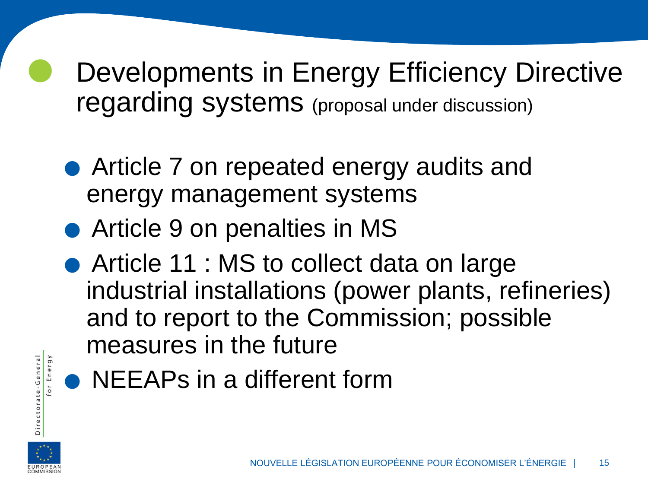Developments in Energy Efficiency Directive

- regarding systems (proposal under discussion)<br>• Article 7 on repeated energy audits and<br>
consexument systems energy management systems • Article 7 on repeated energy audits and<br>energy management systems<br>• Article 9 on penalties in MS
	-
- Article 11 : MS to collect data on large industrial installations (power plants, refineries) or and to report to the Commission; possible<br>
measures in the future<br>
● NEEAPs in a different form measures in the future
	-



Directorate-General